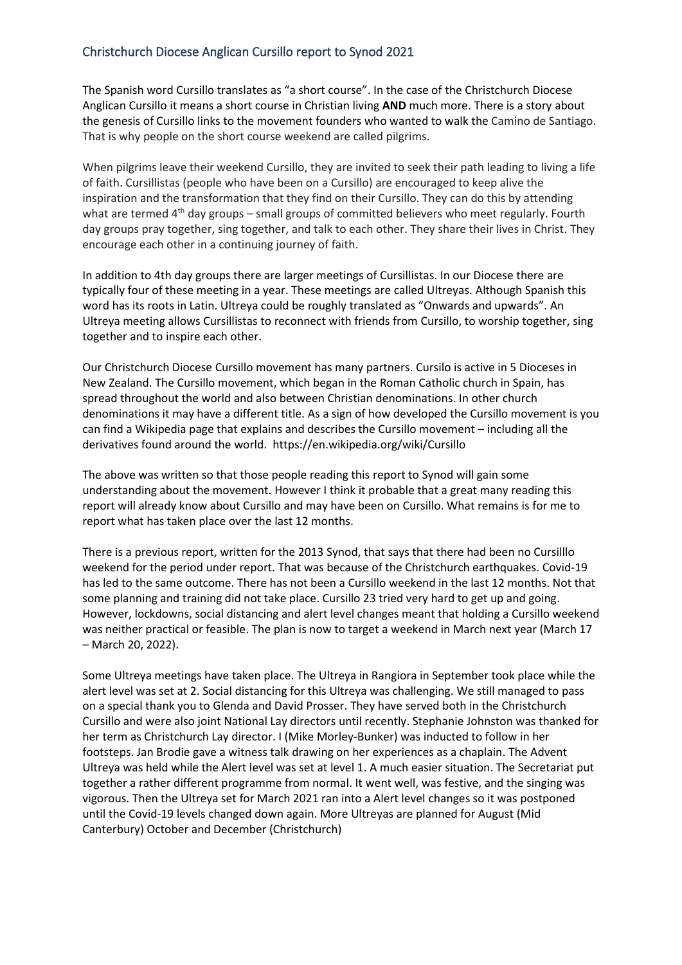## Christchurch Diocese Anglican Cursillo report to Synod 2021

The Spanish word Cursillo translates as "a short course". In the case of the Christchurch Diocese Anglican Cursillo it means a short course in Christian living **AND** much more. There is a story about the genesis of Cursillo links to the movement founders who wanted to walk the Camino de Santiago. That is why people on the short course weekend are called pilgrims.

When pilgrims leave their weekend Cursillo, they are invited to seek their path leading to living a life of faith. Cursillistas (people who have been on a Cursillo) are encouraged to keep alive the inspiration and the transformation that they find on their Cursillo. They can do this by attending what are termed  $4<sup>th</sup>$  day groups – small groups of committed believers who meet regularly. Fourth day groups pray together, sing together, and talk to each other. They share their lives in Christ. They encourage each other in a continuing journey of faith.

In addition to 4th day groups there are larger meetings of Cursillistas. In our Diocese there are typically four of these meeting in a year. These meetings are called Ultreyas. Although Spanish this word has its roots in Latin. Ultreya could be roughly translated as "Onwards and upwards". An Ultreya meeting allows Cursillistas to reconnect with friends from Cursillo, to worship together, sing together and to inspire each other.

Our Christchurch Diocese Cursillo movement has many partners. Cursilo is active in 5 Dioceses in New Zealand. The Cursillo movement, which began in the Roman Catholic church in Spain, has spread throughout the world and also between Christian denominations. In other church denominations it may have a different title. As a sign of how developed the Cursillo movement is you can find a Wikipedia page that explains and describes the Cursillo movement – including all the derivatives found around the world. https://en.wikipedia.org/wiki/Cursillo

The above was written so that those people reading this report to Synod will gain some understanding about the movement. However I think it probable that a great many reading this report will already know about Cursillo and may have been on Cursillo. What remains is for me to report what has taken place over the last 12 months.

There is a previous report, written for the 2013 Synod, that says that there had been no Cursilllo weekend for the period under report. That was because of the Christchurch earthquakes. Covid-19 has led to the same outcome. There has not been a Cursillo weekend in the last 12 months. Not that some planning and training did not take place. Cursillo 23 tried very hard to get up and going. However, lockdowns, social distancing and alert level changes meant that holding a Cursillo weekend was neither practical or feasible. The plan is now to target a weekend in March next year (March 17 – March 20, 2022).

Some Ultreya meetings have taken place. The Ultreya in Rangiora in September took place while the alert level was set at 2. Social distancing for this Ultreya was challenging. We still managed to pass on a special thank you to Glenda and David Prosser. They have served both in the Christchurch Cursillo and were also joint National Lay directors until recently. Stephanie Johnston was thanked for her term as Christchurch Lay director. I (Mike Morley-Bunker) was inducted to follow in her footsteps. Jan Brodie gave a witness talk drawing on her experiences as a chaplain. The Advent Ultreya was held while the Alert level was set at level 1. A much easier situation. The Secretariat put together a rather different programme from normal. It went well, was festive, and the singing was vigorous. Then the Ultreya set for March 2021 ran into a Alert level changes so it was postponed until the Covid-19 levels changed down again. More Ultreyas are planned for August (Mid Canterbury) October and December (Christchurch)